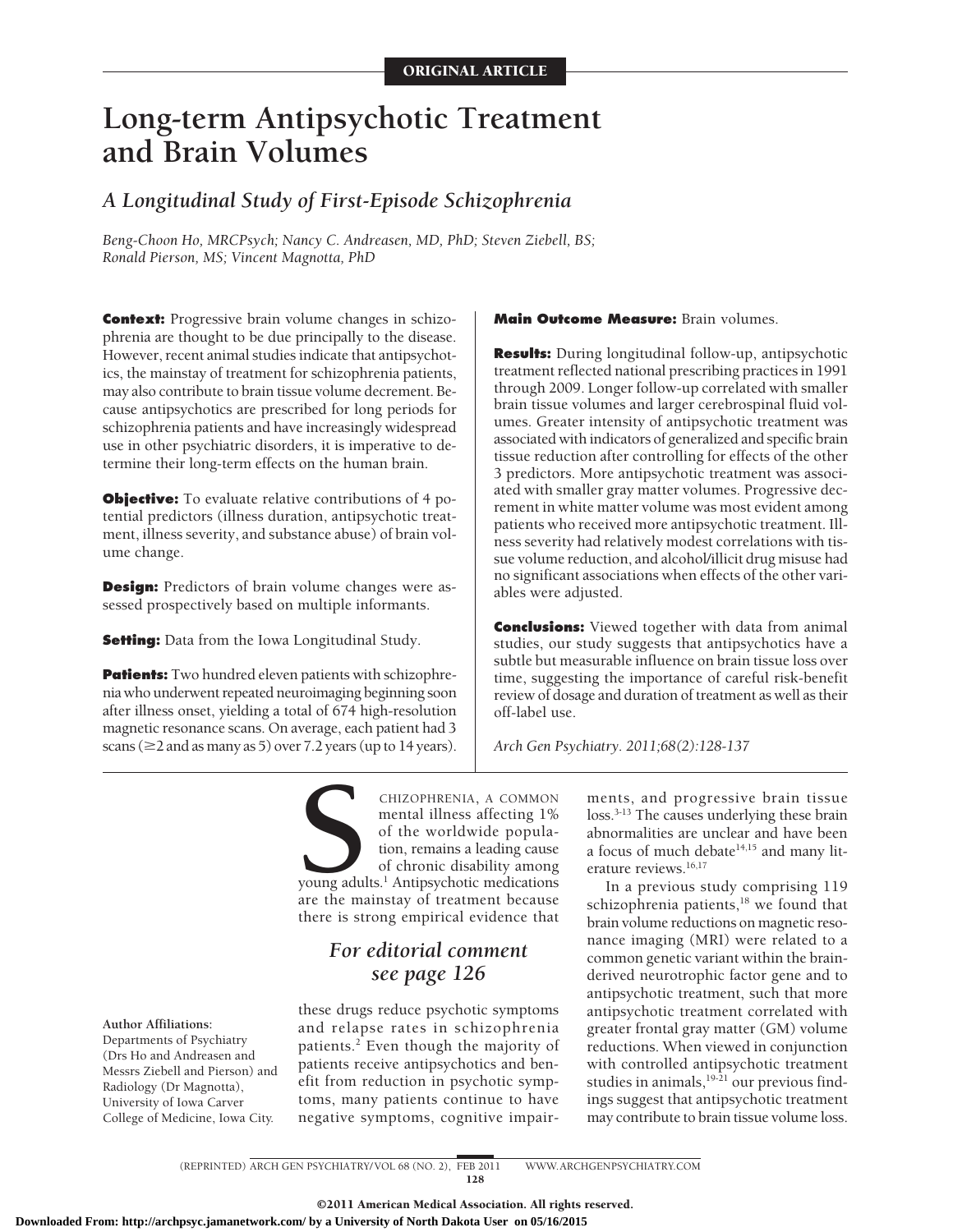# **Long-term Antipsychotic Treatment and Brain Volumes**

# *A Longitudinal Study of First-Episode Schizophrenia*

*Beng-Choon Ho, MRCPsych; Nancy C. Andreasen, MD, PhD; Steven Ziebell, BS; Ronald Pierson, MS; Vincent Magnotta, PhD*

**Context:** Progressive brain volume changes in schizophrenia are thought to be due principally to the disease. However, recent animal studies indicate that antipsychotics, the mainstay of treatment for schizophrenia patients, may also contribute to brain tissue volume decrement. Because antipsychotics are prescribed for long periods for schizophrenia patients and have increasingly widespread use in other psychiatric disorders, it is imperative to determine their long-term effects on the human brain.

**Objective:** To evaluate relative contributions of 4 potential predictors (illness duration, antipsychotic treatment, illness severity, and substance abuse) of brain volume change.

**Design:** Predictors of brain volume changes were assessed prospectively based on multiple informants.

**Setting:** Data from the Iowa Longitudinal Study.

**Patients:** Two hundred eleven patients with schizophrenia who underwent repeated neuroimaging beginning soon after illness onset, yielding a total of 674 high-resolution magnetic resonance scans. On average, each patient had 3 scans ( $\geq$ 2 and as many as 5) over 7.2 years (up to 14 years).

# **Main Outcome Measure:** Brain volumes.

**Results:** During longitudinal follow-up, antipsychotic treatment reflected national prescribing practices in 1991 through 2009. Longer follow-up correlated with smaller brain tissue volumes and larger cerebrospinal fluid volumes. Greater intensity of antipsychotic treatment was associated with indicators of generalized and specific brain tissue reduction after controlling for effects of the other 3 predictors. More antipsychotic treatment was associated with smaller gray matter volumes. Progressive decrement in white matter volume was most evident among patients who received more antipsychotic treatment. Illness severity had relatively modest correlations with tissue volume reduction, and alcohol/illicit drug misuse had no significant associations when effects of the other variables were adjusted.

**Conclusions:** Viewed together with data from animal studies, our study suggests that antipsychotics have a subtle but measurable influence on brain tissue loss over time, suggesting the importance of careful risk-benefit review of dosage and duration of treatment as well as their off-label use.

*Arch Gen Psychiatry. 2011;68(2):128-137*

**SEPTEMBENIA, A COMMON mental illness affecting 1% of the worldwide population, remains a leading cause of chronic disability among young adults.<sup>1</sup> Antipsychotic medications are the mainstay of treatment because** mental illness affecting 1% of the worldwide population, remains a leading cause of chronic disability among young adults.<sup>1</sup> Antipsychotic medications are the mainstay of treatment because there is strong empirical evidence that

# *For editorial comment see page 126*

these drugs reduce psychotic symptoms and relapse rates in schizophrenia patients.2 Even though the majority of patients receive antipsychotics and benefit from reduction in psychotic symptoms, many patients continue to have negative symptoms, cognitive impairments, and progressive brain tissue loss.3-13 The causes underlying these brain abnormalities are unclear and have been a focus of much debate $14,15$  and many literature reviews.<sup>16,17</sup>

In a previous study comprising 119 schizophrenia patients,<sup>18</sup> we found that brain volume reductions on magnetic resonance imaging (MRI) were related to a common genetic variant within the brainderived neurotrophic factor gene and to antipsychotic treatment, such that more antipsychotic treatment correlated with greater frontal gray matter (GM) volume reductions. When viewed in conjunction with controlled antipsychotic treatment studies in animals,  $19-21$  our previous findings suggest that antipsychotic treatment may contribute to brain tissue volume loss.

**Author Affiliations:** Departments of Psychiatry

(Drs Ho and Andreasen and Messrs Ziebell and Pierson) and Radiology (Dr Magnotta), University of Iowa Carver College of Medicine, Iowa City.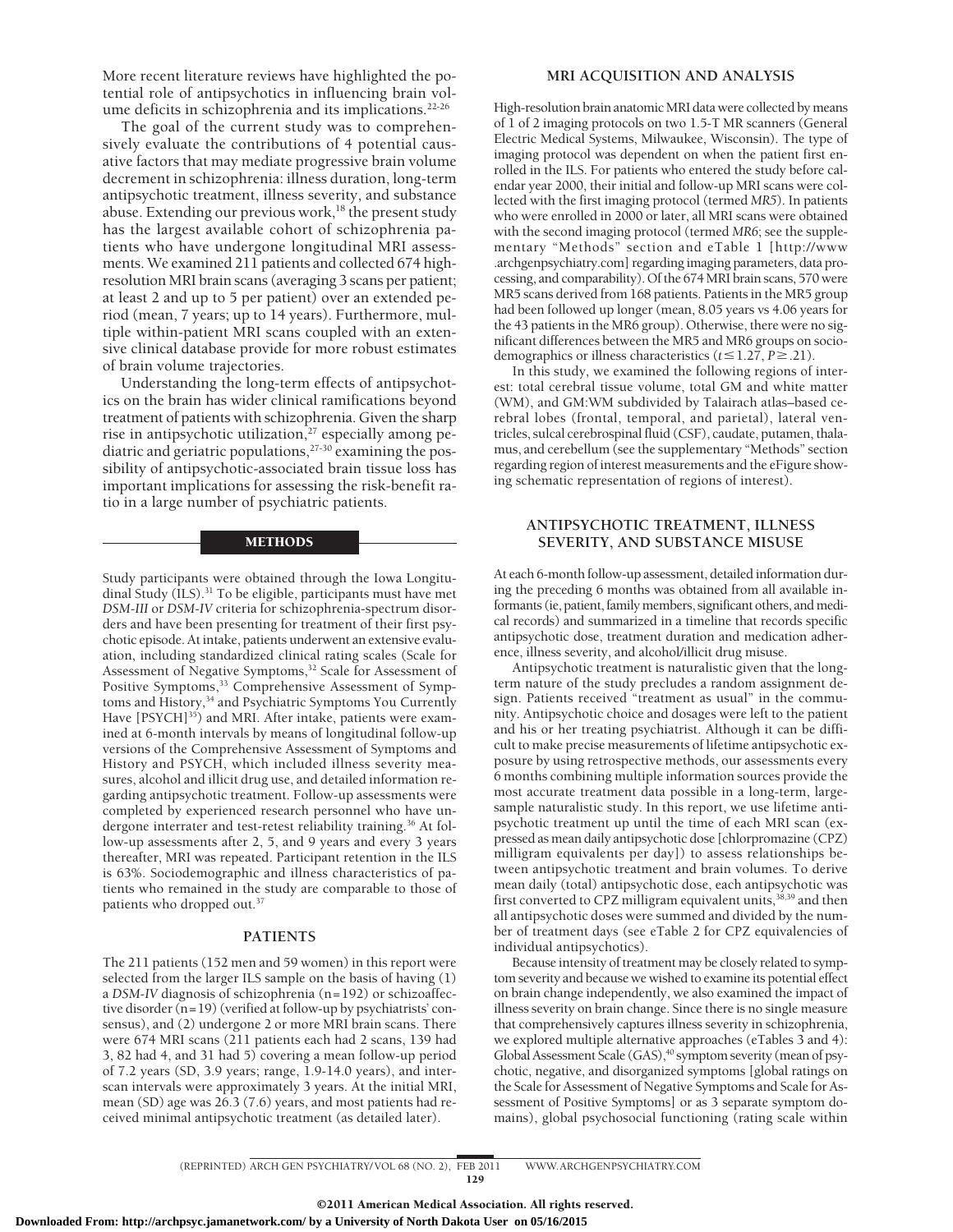More recent literature reviews have highlighted the potential role of antipsychotics in influencing brain volume deficits in schizophrenia and its implications.<sup>22-26</sup>

The goal of the current study was to comprehensively evaluate the contributions of 4 potential causative factors that may mediate progressive brain volume decrement in schizophrenia: illness duration, long-term antipsychotic treatment, illness severity, and substance abuse. Extending our previous work,<sup>18</sup> the present study has the largest available cohort of schizophrenia patients who have undergone longitudinal MRI assessments. We examined 211 patients and collected 674 highresolution MRI brain scans (averaging 3 scans per patient; at least 2 and up to 5 per patient) over an extended period (mean, 7 years; up to 14 years). Furthermore, multiple within-patient MRI scans coupled with an extensive clinical database provide for more robust estimates of brain volume trajectories.

Understanding the long-term effects of antipsychotics on the brain has wider clinical ramifications beyond treatment of patients with schizophrenia. Given the sharp rise in antipsychotic utilization, $27$  especially among pediatric and geriatric populations,<sup>27-30</sup> examining the possibility of antipsychotic-associated brain tissue loss has important implications for assessing the risk-benefit ratio in a large number of psychiatric patients.

#### METHODS

Study participants were obtained through the Iowa Longitudinal Study (ILS).31 To be eligible, participants must have met *DSM-III* or *DSM-IV* criteria for schizophrenia-spectrum disorders and have been presenting for treatment of their first psychotic episode. At intake, patients underwent an extensive evaluation, including standardized clinical rating scales (Scale for Assessment of Negative Symptoms,<sup>32</sup> Scale for Assessment of Positive Symptoms,<sup>33</sup> Comprehensive Assessment of Symptoms and History,<sup>34</sup> and Psychiatric Symptoms You Currently Have [PSYCH]<sup>35</sup>) and MRI. After intake, patients were examined at 6-month intervals by means of longitudinal follow-up versions of the Comprehensive Assessment of Symptoms and History and PSYCH, which included illness severity measures, alcohol and illicit drug use, and detailed information regarding antipsychotic treatment. Follow-up assessments were completed by experienced research personnel who have undergone interrater and test-retest reliability training.<sup>36</sup> At follow-up assessments after 2, 5, and 9 years and every 3 years thereafter, MRI was repeated. Participant retention in the ILS is 63%. Sociodemographic and illness characteristics of patients who remained in the study are comparable to those of patients who dropped out.<sup>37</sup>

#### **PATIENTS**

The 211 patients (152 men and 59 women) in this report were selected from the larger ILS sample on the basis of having (1) a *DSM-IV* diagnosis of schizophrenia (n=192) or schizoaffective disorder (n=19) (verified at follow-up by psychiatrists' consensus), and (2) undergone 2 or more MRI brain scans. There were 674 MRI scans (211 patients each had 2 scans, 139 had 3, 82 had 4, and 31 had 5) covering a mean follow-up period of 7.2 years (SD, 3.9 years; range, 1.9-14.0 years), and interscan intervals were approximately 3 years. At the initial MRI, mean (SD) age was 26.3 (7.6) years, and most patients had received minimal antipsychotic treatment (as detailed later).

## **MRI ACQUISITION AND ANALYSIS**

High-resolution brain anatomic MRI data were collected by means of 1 of 2 imaging protocols on two 1.5-T MR scanners (General Electric Medical Systems, Milwaukee, Wisconsin). The type of imaging protocol was dependent on when the patient first enrolled in the ILS. For patients who entered the study before calendar year 2000, their initial and follow-up MRI scans were collected with the first imaging protocol (termed *MR5*). In patients who were enrolled in 2000 or later, all MRI scans were obtained with the second imaging protocol (termed *MR6*; see the supplementary "Methods" section and eTable 1 [http://www .archgenpsychiatry.com] regarding imaging parameters, data processing, and comparability). Of the 674 MRI brain scans, 570 were MR5 scans derived from 168 patients. Patients in the MR5 group had been followed up longer (mean, 8.05 years vs 4.06 years for the 43 patients in the MR6 group). Otherwise, there were no significant differences between the MR5 and MR6 groups on sociodemographics or illness characteristics (*t* ≤ 1.27, *P* ≥ .21).

In this study, we examined the following regions of interest: total cerebral tissue volume, total GM and white matter (WM), and GM:WM subdivided by Talairach atlas–based cerebral lobes (frontal, temporal, and parietal), lateral ventricles, sulcal cerebrospinal fluid (CSF), caudate, putamen, thalamus, and cerebellum (see the supplementary "Methods" section regarding region of interest measurements and the eFigure showing schematic representation of regions of interest).

# **ANTIPSYCHOTIC TREATMENT, ILLNESS SEVERITY, AND SUBSTANCE MISUSE**

At each 6-month follow-up assessment, detailed information during the preceding 6 months was obtained from all available informants (ie, patient, family members, significant others, and medical records) and summarized in a timeline that records specific antipsychotic dose, treatment duration and medication adherence, illness severity, and alcohol/illicit drug misuse.

Antipsychotic treatment is naturalistic given that the longterm nature of the study precludes a random assignment design. Patients received "treatment as usual" in the community. Antipsychotic choice and dosages were left to the patient and his or her treating psychiatrist. Although it can be difficult to make precise measurements of lifetime antipsychotic exposure by using retrospective methods, our assessments every 6 months combining multiple information sources provide the most accurate treatment data possible in a long-term, largesample naturalistic study. In this report, we use lifetime antipsychotic treatment up until the time of each MRI scan (expressed as mean daily antipsychotic dose [chlorpromazine (CPZ) milligram equivalents per day]) to assess relationships between antipsychotic treatment and brain volumes. To derive mean daily (total) antipsychotic dose, each antipsychotic was first converted to CPZ milligram equivalent units,<sup>38,39</sup> and then all antipsychotic doses were summed and divided by the number of treatment days (see eTable 2 for CPZ equivalencies of individual antipsychotics).

Because intensity of treatment may be closely related to symptom severity and because we wished to examine its potential effect on brain change independently, we also examined the impact of illness severity on brain change. Since there is no single measure that comprehensively captures illness severity in schizophrenia, we explored multiple alternative approaches (eTables 3 and 4): Global Assessment Scale (GAS),<sup>40</sup> symptom severity (mean of psychotic, negative, and disorganized symptoms [global ratings on the Scale for Assessment of Negative Symptoms and Scale for Assessment of Positive Symptoms] or as 3 separate symptom domains), global psychosocial functioning (rating scale within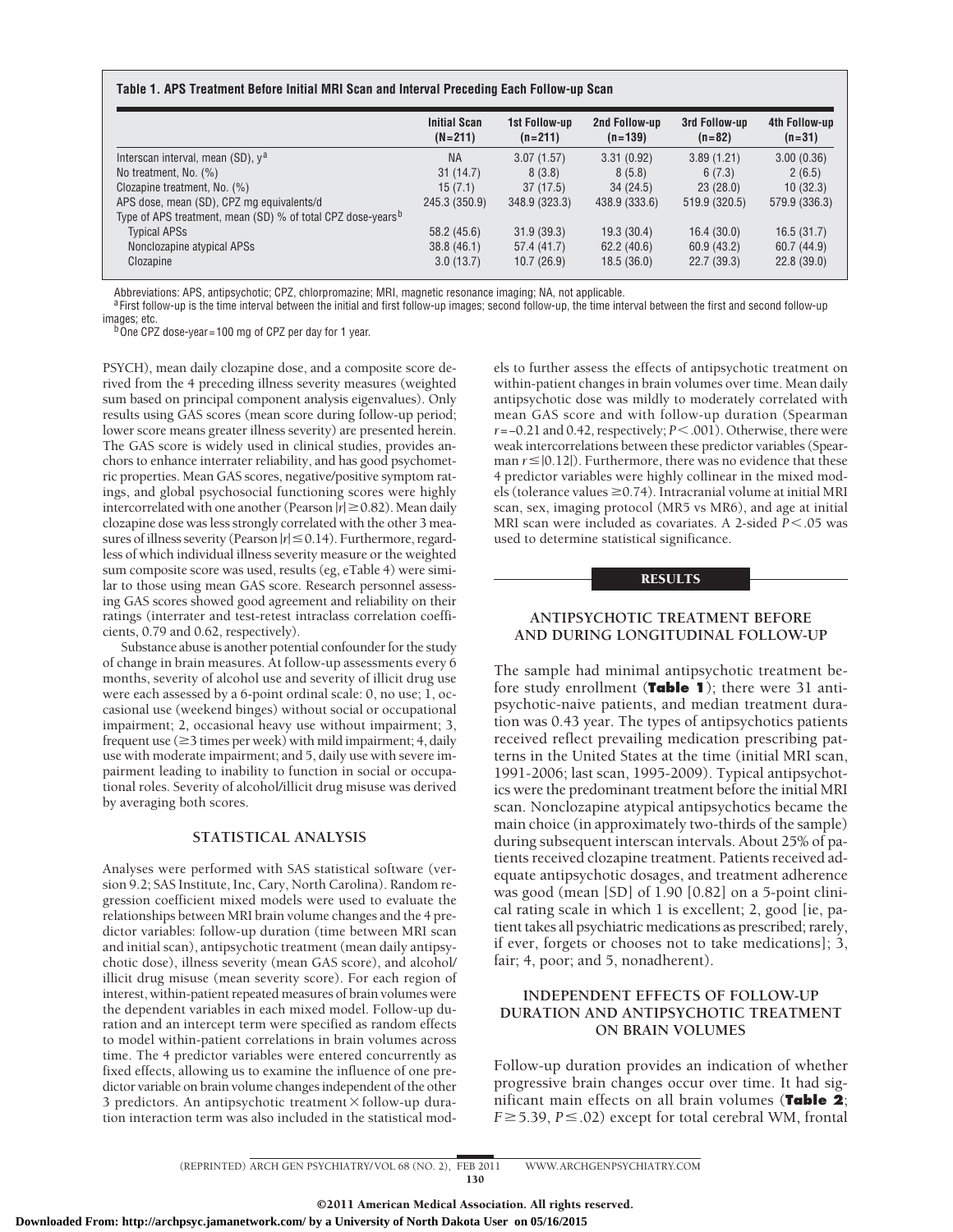#### **Table 1. APS Treatment Before Initial MRI Scan and Interval Preceding Each Follow-up Scan**

|                                                                         | <b>Initial Scan</b><br>$(N=211)$ | 1st Follow-up<br>$(n=211)$ | 2nd Follow-up<br>$(n=139)$ | 3rd Follow-up<br>$(n=82)$ | 4th Follow-up<br>$(n=31)$ |
|-------------------------------------------------------------------------|----------------------------------|----------------------------|----------------------------|---------------------------|---------------------------|
| Interscan interval, mean (SD), y <sup>a</sup>                           | <b>NA</b>                        | 3.07(1.57)                 | 3.31(0.92)                 | 3.89(1.21)                | 3.00(0.36)                |
| No treatment, No. (%)                                                   | 31(14.7)                         | 8(3.8)                     | 8(5.8)                     | 6(7.3)                    | 2(6.5)                    |
| Clozapine treatment, No. (%)                                            | 15(7.1)                          | 37(17.5)                   | 34(24.5)                   | 23(28.0)                  | 10(32.3)                  |
| APS dose, mean (SD), CPZ mg equivalents/d                               | 245.3 (350.9)                    | 348.9 (323.3)              | 438.9 (333.6)              | 519.9 (320.5)             | 579.9 (336.3)             |
| Type of APS treatment, mean (SD) % of total CPZ dose-years <sup>b</sup> |                                  |                            |                            |                           |                           |
| <b>Typical APSs</b>                                                     | 58.2 (45.6)                      | 31.9(39.3)                 | 19.3(30.4)                 | 16.4(30.0)                | 16.5(31.7)                |
| Nonclozapine atypical APSs                                              | 38.8(46.1)                       | 57.4(41.7)                 | 62.2(40.6)                 | 60.9(43.2)                | 60.7 (44.9)               |
| Clozapine                                                               | 3.0(13.7)                        | 10.7(26.9)                 | 18.5(36.0)                 | 22.7(39.3)                | 22.8(39.0)                |

Abbreviations: APS, antipsychotic; CPZ, chlorpromazine; MRI, magnetic resonance imaging; NA, not applicable.

a First follow-up is the time interval between the initial and first follow-up images; second follow-up, the time interval between the first and second follow-up

images; etc.<br><sup>b</sup>One CPZ dose-year=100 mg of CPZ per day for 1 year.

PSYCH), mean daily clozapine dose, and a composite score derived from the 4 preceding illness severity measures (weighted sum based on principal component analysis eigenvalues). Only results using GAS scores (mean score during follow-up period; lower score means greater illness severity) are presented herein. The GAS score is widely used in clinical studies, provides anchors to enhance interrater reliability, and has good psychometric properties. Mean GAS scores, negative/positive symptom ratings, and global psychosocial functioning scores were highly intercorrelated with one another (Pearson  $|r| \ge 0.82$ ). Mean daily clozapine dose was less strongly correlated with the other 3 measures of illness severity (Pearson  $|r| \le 0.14$ ). Furthermore, regardless of which individual illness severity measure or the weighted sum composite score was used, results (eg, eTable 4) were similar to those using mean GAS score. Research personnel assessing GAS scores showed good agreement and reliability on their ratings (interrater and test-retest intraclass correlation coefficients, 0.79 and 0.62, respectively).

Substance abuse is another potential confounder for the study of change in brain measures. At follow-up assessments every 6 months, severity of alcohol use and severity of illicit drug use were each assessed by a 6-point ordinal scale: 0, no use; 1, occasional use (weekend binges) without social or occupational impairment; 2, occasional heavy use without impairment; 3, frequent use  $(\geq 3$  times per week) with mild impairment; 4, daily use with moderate impairment; and 5, daily use with severe impairment leading to inability to function in social or occupational roles. Severity of alcohol/illicit drug misuse was derived by averaging both scores.

### **STATISTICAL ANALYSIS**

Analyses were performed with SAS statistical software (version 9.2; SAS Institute, Inc, Cary, North Carolina). Random regression coefficient mixed models were used to evaluate the relationships between MRI brain volume changes and the 4 predictor variables: follow-up duration (time between MRI scan and initial scan), antipsychotic treatment (mean daily antipsychotic dose), illness severity (mean GAS score), and alcohol/ illicit drug misuse (mean severity score). For each region of interest, within-patient repeated measures of brain volumes were the dependent variables in each mixed model. Follow-up duration and an intercept term were specified as random effects to model within-patient correlations in brain volumes across time. The 4 predictor variables were entered concurrently as fixed effects, allowing us to examine the influence of one predictor variable on brain volume changes independent of the other 3 predictors. An antipsychotic treatment  $\times$  follow-up duration interaction term was also included in the statistical models to further assess the effects of antipsychotic treatment on within-patient changes in brain volumes over time. Mean daily antipsychotic dose was mildly to moderately correlated with mean GAS score and with follow-up duration (Spearman *r* = −0.21 and 0.42, respectively; *P* < .001). Otherwise, there were weak intercorrelations between these predictor variables (Spearman  $r \leq |0.12|$ ). Furthermore, there was no evidence that these 4 predictor variables were highly collinear in the mixed models (tolerance values  $\geq$ 0.74). Intracranial volume at initial MRI scan, sex, imaging protocol (MR5 vs MR6), and age at initial MRI scan were included as covariates. A 2-sided *P*<.05 was used to determine statistical significance.

#### RESULTS

## **ANTIPSYCHOTIC TREATMENT BEFORE AND DURING LONGITUDINAL FOLLOW-UP**

The sample had minimal antipsychotic treatment before study enrollment (**Table 1**); there were 31 antipsychotic-naive patients, and median treatment duration was 0.43 year. The types of antipsychotics patients received reflect prevailing medication prescribing patterns in the United States at the time (initial MRI scan, 1991-2006; last scan, 1995-2009). Typical antipsychotics were the predominant treatment before the initial MRI scan. Nonclozapine atypical antipsychotics became the main choice (in approximately two-thirds of the sample) during subsequent interscan intervals. About 25% of patients received clozapine treatment. Patients received adequate antipsychotic dosages, and treatment adherence was good (mean [SD] of 1.90 [0.82] on a 5-point clinical rating scale in which 1 is excellent; 2, good [ie, patient takes all psychiatric medications as prescribed; rarely, if ever, forgets or chooses not to take medications]; 3, fair; 4, poor; and 5, nonadherent).

### **INDEPENDENT EFFECTS OF FOLLOW-UP DURATION AND ANTIPSYCHOTIC TREATMENT ON BRAIN VOLUMES**

Follow-up duration provides an indication of whether progressive brain changes occur over time. It had significant main effects on all brain volumes (**Table 2**;  $F \ge 5.39$ ,  $P \le 0.02$ ) except for total cerebral WM, frontal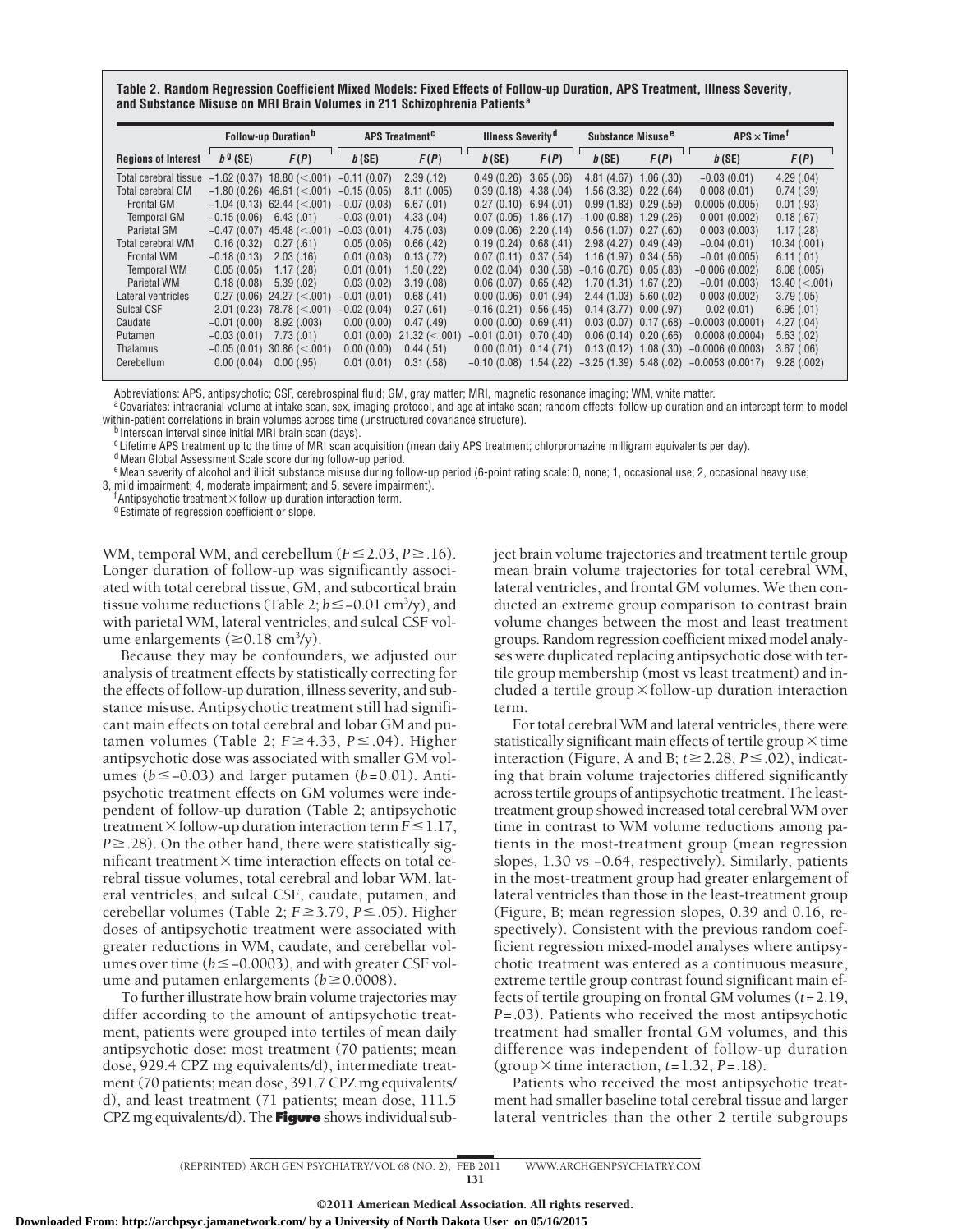**Table 2. Random Regression Coefficient Mixed Models: Fixed Effects of Follow-up Duration, APS Treatment, Illness Severity, and Substance Misuse on MRI Brain Volumes in 211 Schizophrenia Patients<sup>a</sup>**

|                            | Follow-up Duration <sup>b</sup> |                               | APS Treatment <sup>c</sup> |                     | <b>Illness Severity<sup>a</sup></b> |            | Substance Misuse <sup>e</sup> |            | $APS \times Time^{\dagger}$ |                  |
|----------------------------|---------------------------------|-------------------------------|----------------------------|---------------------|-------------------------------------|------------|-------------------------------|------------|-----------------------------|------------------|
| <b>Regions of Interest</b> | $h9$ (SE)                       | F(P)                          | b(SE)                      | F(P)                | b(SE)                               | F(P)       | b(SE)                         | F(P)       | b(SE)                       | F(P)             |
| Total cerebral tissue      | $-1.62(0.37)$                   | 18.80 (< 0.001)               | $-0.11(0.07)$              | 2.39(0.12)          | 0.49(0.26)                          | 3.65(.06)  | 4.81(4.67)                    | 1.06(.30)  | $-0.03(0.01)$               | 4.29(.04)        |
| <b>Total cerebral GM</b>   |                                 | $-1.80(0.26)$ 46.61 (<.001)   | $-0.15(0.05)$              | 8.11(.005)          | 0.39(0.18)                          | 4.38(.04)  | 1.56 (3.32)                   | 0.22(0.64) | 0.008(0.01)                 | 0.74(.39)        |
| <b>Frontal GM</b>          |                                 | $-1.04(0.13)$ 62.44 (<.001)   | $-0.07(0.03)$              | 6.67(.01)           | 0.27(0.10)                          | 6.94(.01)  | 0.99(1.83)                    | 0.29(0.59) | 0.0005(0.005)               | 0.01(.93)        |
| <b>Temporal GM</b>         | $-0.15(0.06)$                   | 6.43(.01)                     | $-0.03(0.01)$              | 4.33(.04)           | 0.07(0.05)                          | 1.86(.17)  | $-1.00(0.88)$                 | 1.29(.26)  | 0.001(0.002)                | 0.18(.67)        |
| <b>Parietal GM</b>         | $-0.47(0.07)$                   | 45.48 (< 0.01                 | $-0.03(0.01)$              | 4.75(.03)           | 0.09(0.06)                          | 2.20(0.14) | 0.56(1.07)                    | 0.27(.60)  | 0.003(0.003)                | 1.17(0.28)       |
| <b>Total cerebral WM</b>   | 0.16(0.32)                      | 0.27(.61)                     | 0.05(0.06)                 | 0.66(0.42)          | 0.19(0.24)                          | 0.68(.41)  | 2.98(4.27)                    | 0.49(0.49) | $-0.04(0.01)$               | 10.34(.001)      |
| <b>Frontal WM</b>          | $-0.18(0.13)$                   | 2.03(0.16)                    | 0.01(0.03)                 | 0.13(0.72)          | 0.07(0.11)                          | 0.37(.54)  | 1.16 (1.97)                   | 0.34(0.56) | $-0.01(0.005)$              | 6.11(.01)        |
| <b>Temporal WM</b>         | 0.05(0.05)                      | 1.17(0.28)                    | 0.01(0.01)                 | 1.50(.22)           | 0.02(0.04)                          | 0.30(.58)  | $-0.16(0.76)$                 | 0.05(.83)  | $-0.006(0.002)$             | 8.08(.005)       |
| <b>Parietal WM</b>         | 0.18(0.08)                      | 5.39(.02)                     | 0.03(0.02)                 | 3.19(.08)           | 0.06(0.07)                          | 0.65(.42)  | 1.70 (1.31) 1.67 (.20)        |            | $-0.01(0.003)$              | 13.40 $(< .001)$ |
| Lateral ventricles         | 0.27(0.06)                      | $24.27 \left( < .001 \right)$ | $-0.01(0.01)$              | 0.68(0.41)          | 0.00(0.06)                          | 0.01(.94)  | $2.44(1.03)$ 5.60 (.02)       |            | 0.003(0.002)                | 3.79(.05)        |
| <b>Sulcal CSF</b>          | 2.01(0.23)                      | 78.78 (< 0.01                 | $-0.02(0.04)$              | 0.27(.61)           | $-0.16(0.21)$                       | 0.56(0.45) | $0.14(3.77)$ $0.00(97)$       |            | 0.02(0.01)                  | 6.95(.01)        |
| Caudate                    | $-0.01(0.00)$                   | 8.92(.003)                    | 0.00(0.00)                 | 0.47(0.49)          | 0.00(0.00)                          | 0.69(0.41) | $0.03(0.07)$ $0.17(.68)$      |            | $-0.0003(0.0001)$           | 4.27(.04)        |
| Putamen                    | $-0.03(0.01)$                   | 7.73(0.01)                    | 0.01(0.00)                 | $21.32 \, (< 0.01)$ | $-0.01(0.01)$                       | 0.70(0.40) | $0.06(0.14)$ $0.20(.66)$      |            | 0.0008(0.0004)              | 5.63(.02)        |
| Thalamus                   | $-0.05(0.01)$                   | $30.86 \ (< .001)$            | 0.00(0.00)                 | 0.44(.51)           | 0.00(0.01)                          | 0.14(.71)  | 0.13(0.12)                    | 1.08(.30)  | $-0.0006(0.0003)$           | 3.67(.06)        |
| Cerebellum                 | 0.00(0.04)                      | 0.00(.95)                     | 0.01(0.01)                 | 0.31(.58)           | $-0.10(0.08)$                       | 1.54(.22)  | $-3.25(1.39)$ 5.48 (.02)      |            | $-0.0053(0.0017)$           | 9.28(.002)       |

Abbreviations: APS, antipsychotic; CSF, cerebrospinal fluid; GM, gray matter; MRI, magnetic resonance imaging; WM, white matter.

aCovariates: intracranial volume at intake scan, sex, imaging protocol, and age at intake scan; random effects: follow-up duration and an intercept term to model within-patient correlations in brain volumes across time (unstructured covariance structure).<br><sup>b</sup> Interscan interval since initial MRI brain scan (days).

cLifetime APS treatment up to the time of MRI scan acquisition (mean daily APS treatment; chlorpromazine milligram equivalents per day). d Mean Global Assessment Scale score during follow-up period.

<sup>e</sup>Mean severity of alcohol and illicit substance misuse during follow-up period (6-point rating scale: 0, none; 1, occasional use; 2, occasional heavy use; 3, mild impairment; 4, moderate impairment; and 5, severe impairment).

 $f$ Antipsychotic treatment $\times$  follow-up duration interaction term.

<sup>g</sup> Estimate of regression coefficient or slope.

WM, temporal WM, and cerebellum  $(F \le 2.03, P \ge .16)$ . Longer duration of follow-up was significantly associated with total cerebral tissue, GM, and subcortical brain tissue volume reductions (Table 2; *b* ≤ −0.01 cm<sup>3</sup>/y), and with parietal WM, lateral ventricles, and sulcal CSF volume enlargements ( $\geq 0.18$  cm<sup>3</sup>/y).

Because they may be confounders, we adjusted our analysis of treatment effects by statistically correcting for the effects of follow-up duration, illness severity, and substance misuse. Antipsychotic treatment still had significant main effects on total cerebral and lobar GM and putamen volumes (Table 2;  $F \ge 4.33$ ,  $P \le .04$ ). Higher antipsychotic dose was associated with smaller GM volumes ( $b \leq$ −0.03) and larger putamen ( $b$ =0.01). Antipsychotic treatment effects on GM volumes were independent of follow-up duration (Table 2; antipsychotic treatment  $\times$  follow-up duration interaction term  $F \leq 1.17$ , *P* ≥ .28). On the other hand, there were statistically significant treatment  $\times$  time interaction effects on total cerebral tissue volumes, total cerebral and lobar WM, lateral ventricles, and sulcal CSF, caudate, putamen, and cerebellar volumes (Table 2; *F*≥3.79, *P* ≤ .05). Higher doses of antipsychotic treatment were associated with greater reductions in WM, caudate, and cerebellar volumes over time ( $b$  ≤ -0.0003), and with greater CSF volume and putamen enlargements ( $b \ge 0.0008$ ).

To further illustrate how brain volume trajectories may differ according to the amount of antipsychotic treatment, patients were grouped into tertiles of mean daily antipsychotic dose: most treatment (70 patients; mean dose, 929.4 CPZ mg equivalents/d), intermediate treatment (70 patients; mean dose, 391.7 CPZ mg equivalents/ d), and least treatment (71 patients; mean dose, 111.5 CPZ mg equivalents/d). The **Figure** shows individual subject brain volume trajectories and treatment tertile group mean brain volume trajectories for total cerebral WM, lateral ventricles, and frontal GM volumes. We then conducted an extreme group comparison to contrast brain volume changes between the most and least treatment groups. Random regression coefficient mixed model analyses were duplicated replacing antipsychotic dose with tertile group membership (most vs least treatment) and included a tertile group $\times$  follow-up duration interaction term.

For total cerebral WM and lateral ventricles, there were statistically significant main effects of tertile group  $\times$  time interaction (Figure, A and B;  $t \ge 2.28$ ,  $P \le .02$ ), indicating that brain volume trajectories differed significantly across tertile groups of antipsychotic treatment. The leasttreatment group showed increased total cerebral WM over time in contrast to WM volume reductions among patients in the most-treatment group (mean regression slopes, 1.30 vs −0.64, respectively). Similarly, patients in the most-treatment group had greater enlargement of lateral ventricles than those in the least-treatment group (Figure, B; mean regression slopes, 0.39 and 0.16, respectively). Consistent with the previous random coefficient regression mixed-model analyses where antipsychotic treatment was entered as a continuous measure, extreme tertile group contrast found significant main effects of tertile grouping on frontal GM volumes (*t*=2.19, *P*=.03). Patients who received the most antipsychotic treatment had smaller frontal GM volumes, and this difference was independent of follow-up duration (group  $\times$  time interaction,  $t = 1.32$ ,  $P = .18$ ).

Patients who received the most antipsychotic treatment had smaller baseline total cerebral tissue and larger lateral ventricles than the other 2 tertile subgroups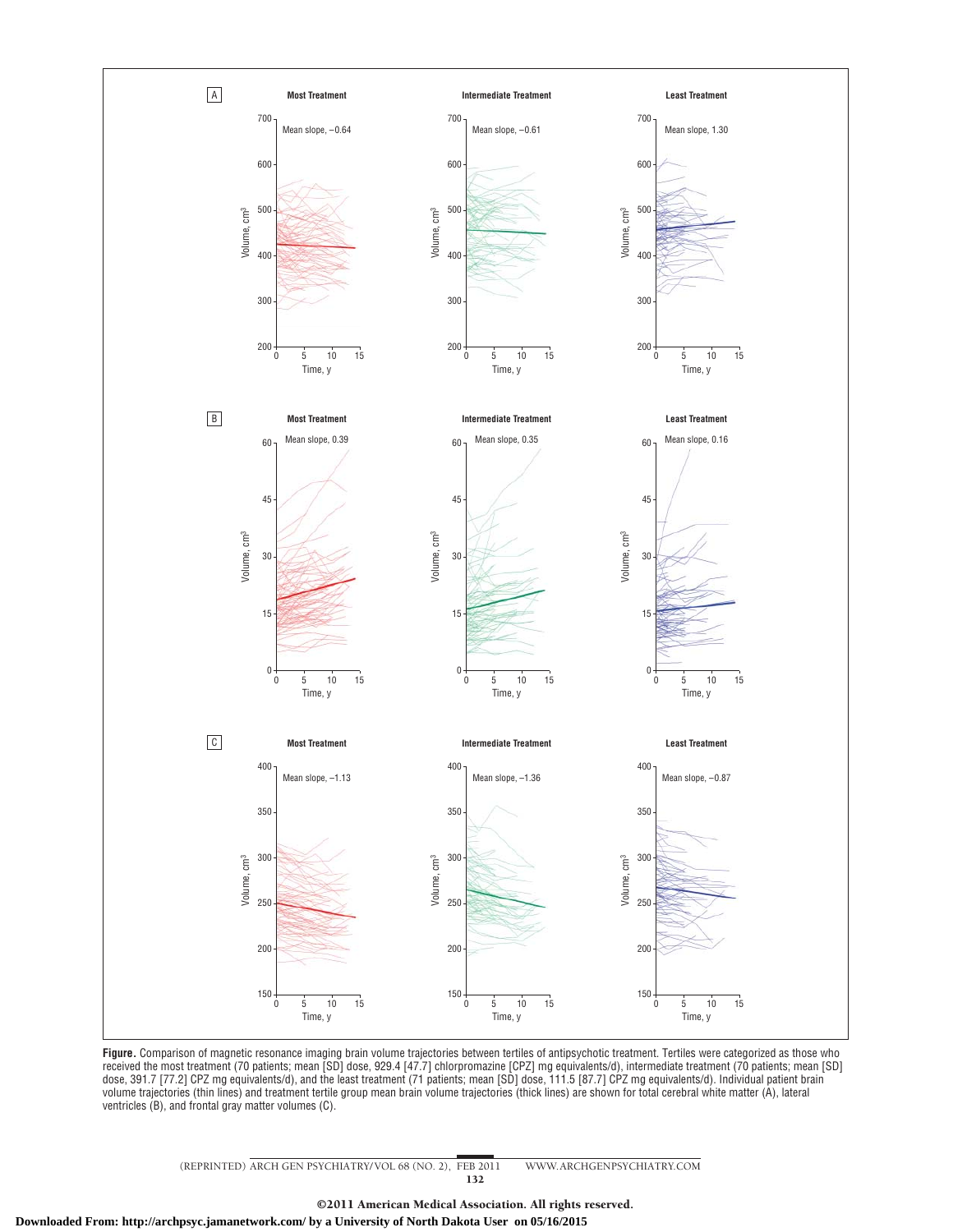

**Figure.** Comparison of magnetic resonance imaging brain volume trajectories between tertiles of antipsychotic treatment. Tertiles were categorized as those who received the most treatment (70 patients; mean [SD] dose, 929.4 [47.7] chlorpromazine [CPZ] mg equivalents/d), intermediate treatment (70 patients; mean [SD] dose, 391.7 [77.2] CPZ mg equivalents/d), and the least treatment (71 patients; mean [SD] dose, 111.5 [87.7] CPZ mg equivalents/d). Individual patient brain volume trajectories (thin lines) and treatment tertile group mean brain volume trajectories (thick lines) are shown for total cerebral white matter (A), lateral ventricles (B), and frontal gray matter volumes (C).

©2011 American Medical Association. All rights reserved.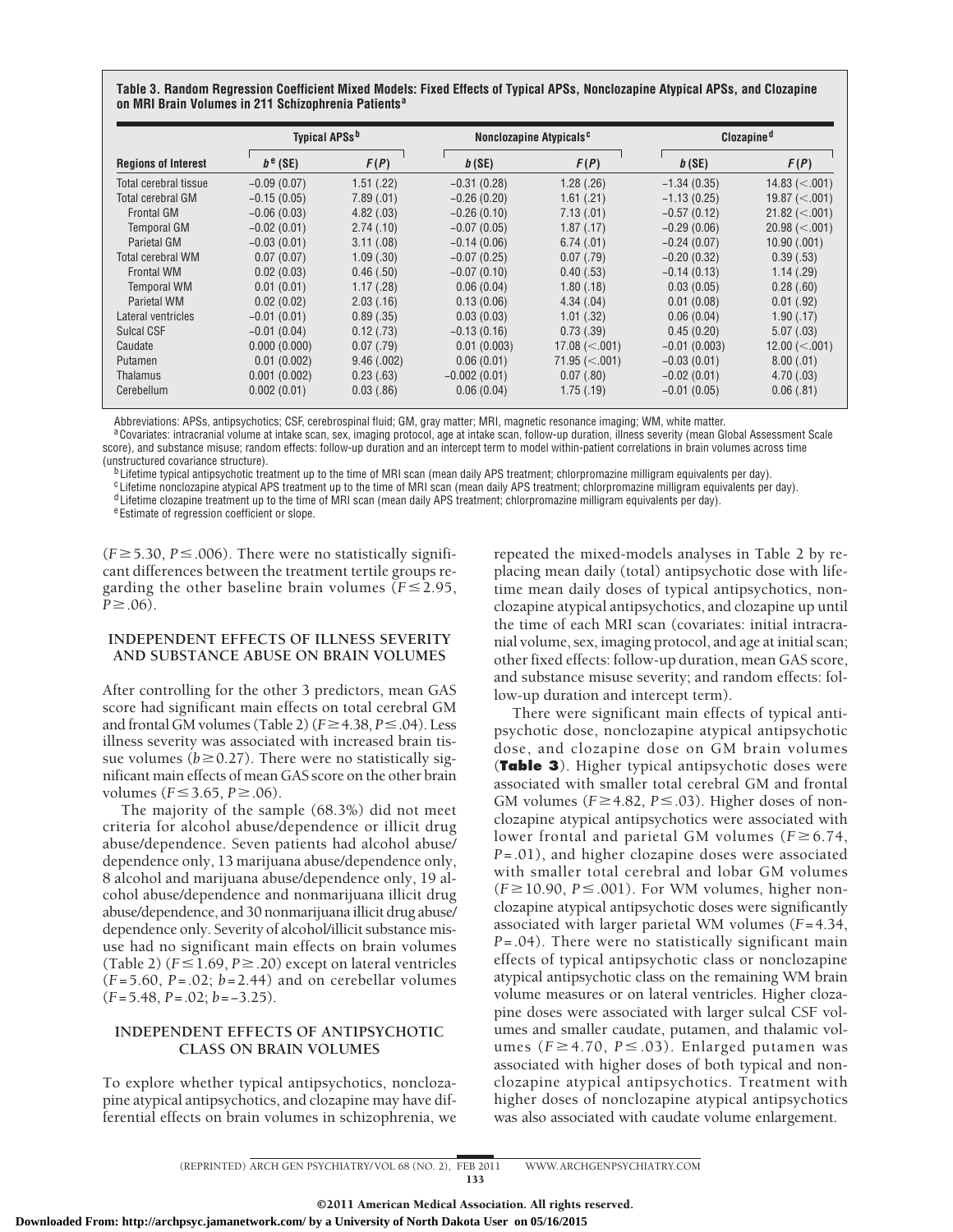**Table 3. Random Regression Coefficient Mixed Models: Fixed Effects of Typical APSs, Nonclozapine Atypical APSs, and Clozapine on MRI Brain Volumes in 211 Schizophrenia Patients<sup>a</sup>**

|                            | <b>Typical APSs<sup>b</sup></b> |            | Nonclozapine Atypicals <sup>c</sup> |                       | Clozapine <sup>d</sup> |                     |  |
|----------------------------|---------------------------------|------------|-------------------------------------|-----------------------|------------------------|---------------------|--|
| <b>Regions of Interest</b> | $b^e$ (SE)                      | F(P)       | b(SE)                               | F(P)                  | b(SE)                  | F(P)                |  |
| Total cerebral tissue      | $-0.09(0.07)$                   | 1.51(.22)  | $-0.31(0.28)$                       | 1.28(.26)             | $-1.34(0.35)$          | 14.83 $(< .001)$    |  |
| <b>Total cerebral GM</b>   | $-0.15(0.05)$                   | 7.89(.01)  | $-0.26(0.20)$                       | 1.61(.21)             | $-1.13(0.25)$          | 19.87 $(< .001)$    |  |
| <b>Frontal GM</b>          | $-0.06(0.03)$                   | 4.82(.03)  | $-0.26(0.10)$                       | 7.13(.01)             | $-0.57(0.12)$          | $21.82 \, (< .001)$ |  |
| <b>Temporal GM</b>         | $-0.02(0.01)$                   | 2.74(0)    | $-0.07(0.05)$                       | 1.87(0.17)            | $-0.29(0.06)$          | $20.98 \ (< .001)$  |  |
| <b>Parietal GM</b>         | $-0.03(0.01)$                   | 3.11(.08)  | $-0.14(0.06)$                       | 6.74(.01)             | $-0.24(0.07)$          | 10.90(.001)         |  |
| <b>Total cerebral WM</b>   | 0.07(0.07)                      | 1.09(.30)  | $-0.07(0.25)$                       | 0.07(0.79)            | $-0.20(0.32)$          | 0.39(.53)           |  |
| <b>Frontal WM</b>          | 0.02(0.03)                      | 0.46(.50)  | $-0.07(0.10)$                       | 0.40(.53)             | $-0.14(0.13)$          | 1.14(0.29)          |  |
| <b>Temporal WM</b>         | 0.01(0.01)                      | 1.17(0.28) | 0.06(0.04)                          | 1.80(.18)             | 0.03(0.05)             | 0.28(.60)           |  |
| <b>Parietal WM</b>         | 0.02(0.02)                      | 2.03(0.16) | 0.13(0.06)                          | 4.34(.04)             | 0.01(0.08)             | 0.01(.92)           |  |
| Lateral ventricles         | $-0.01(0.01)$                   | 0.89(.35)  | 0.03(0.03)                          | 1.01(.32)             | 0.06(0.04)             | 1.90(.17)           |  |
| <b>Sulcal CSF</b>          | $-0.01(0.04)$                   | 0.12(.73)  | $-0.13(0.16)$                       | 0.73(.39)             | 0.45(0.20)             | 5.07(0.03)          |  |
| Caudate                    | 0.000(0.000)                    | 0.07(.79)  | 0.01(0.003)                         | 17.08 $(<.001)$       | $-0.01(0.003)$         | 12.00 $(<.001)$     |  |
| Putamen                    | 0.01(0.002)                     | 9.46(.002) | 0.06(0.01)                          | $71.95 \approx 0.001$ | $-0.03(0.01)$          | 8.00(.01)           |  |
| Thalamus                   | 0.001(0.002)                    | 0.23(.63)  | $-0.002(0.01)$                      | 0.07(.80)             | $-0.02(0.01)$          | 4.70(.03)           |  |
| Cerebellum                 | 0.002(0.01)                     | 0.03(.86)  | 0.06(0.04)                          | 1.75(0.19)            | $-0.01(0.05)$          | 0.06(.81)           |  |

Abbreviations: APSs, antipsychotics; CSF, cerebrospinal fluid; GM, gray matter; MRI, magnetic resonance imaging; WM, white matter.

aCovariates: intracranial volume at intake scan, sex, imaging protocol, age at intake scan, follow-up duration, illness severity (mean Global Assessment Scale score), and substance misuse; random effects: follow-up duration and an intercept term to model within-patient correlations in brain volumes across time

<sup>b</sup> Lifetime typical antipsychotic treatment up to the time of MRI scan (mean daily APS treatment; chlorpromazine milligram equivalents per day).

cLifetime nonclozapine atypical APS treatment up to the time of MRI scan (mean daily APS treatment; chlorpromazine milligram equivalents per day).

 $d$  Lifetime clozapine treatment up to the time of MRI scan (mean daily APS treatment; chlorpromazine milligram equivalents per day).

eEstimate of regression coefficient or slope.

 $(F \ge 5.30, P \le 0.006)$ . There were no statistically significant differences between the treatment tertile groups regarding the other baseline brain volumes ( $F \le 2.95$ ,  $P \geq .06$ ).

## **INDEPENDENT EFFECTS OF ILLNESS SEVERITY AND SUBSTANCE ABUSE ON BRAIN VOLUMES**

After controlling for the other 3 predictors, mean GAS score had significant main effects on total cerebral GM and frontal GM volumes (Table 2)  $(F \ge 4.38, P \le .04)$ . Less illness severity was associated with increased brain tissue volumes ( $b \ge 0.27$ ). There were no statistically significant main effects of mean GAS score on the other brain volumes ( $F$ ≤3.65,  $P$ ≥.06).

The majority of the sample (68.3%) did not meet criteria for alcohol abuse/dependence or illicit drug abuse/dependence. Seven patients had alcohol abuse/ dependence only, 13 marijuana abuse/dependence only, 8 alcohol and marijuana abuse/dependence only, 19 alcohol abuse/dependence and nonmarijuana illicit drug abuse/dependence, and 30 nonmarijuana illicit drug abuse/ dependence only. Severity of alcohol/illicit substance misuse had no significant main effects on brain volumes (Table 2)  $(F \le 1.69, P \ge .20)$  except on lateral ventricles (*F*=5.60, *P*=.02; *b*=2.44) and on cerebellar volumes (*F*=5.48, *P*=.02; *b*=−3.25).

# **INDEPENDENT EFFECTS OF ANTIPSYCHOTIC CLASS ON BRAIN VOLUMES**

To explore whether typical antipsychotics, nonclozapine atypical antipsychotics, and clozapine may have differential effects on brain volumes in schizophrenia, we

repeated the mixed-models analyses in Table 2 by replacing mean daily (total) antipsychotic dose with lifetime mean daily doses of typical antipsychotics, nonclozapine atypical antipsychotics, and clozapine up until the time of each MRI scan (covariates: initial intracranial volume, sex, imaging protocol, and age at initial scan; other fixed effects: follow-up duration, mean GAS score, and substance misuse severity; and random effects: follow-up duration and intercept term).

There were significant main effects of typical antipsychotic dose, nonclozapine atypical antipsychotic dose, and clozapine dose on GM brain volumes (**Table 3**). Higher typical antipsychotic doses were associated with smaller total cerebral GM and frontal GM volumes ( $F \geq 4.82$ ,  $P \leq .03$ ). Higher doses of nonclozapine atypical antipsychotics were associated with lower frontal and parietal GM volumes  $(F \ge 6.74,$ *P*=.01), and higher clozapine doses were associated with smaller total cerebral and lobar GM volumes  $(F \ge 10.90, P \le .001)$ . For WM volumes, higher nonclozapine atypical antipsychotic doses were significantly associated with larger parietal WM volumes (*F*=4.34, *P*=.04). There were no statistically significant main effects of typical antipsychotic class or nonclozapine atypical antipsychotic class on the remaining WM brain volume measures or on lateral ventricles. Higher clozapine doses were associated with larger sulcal CSF volumes and smaller caudate, putamen, and thalamic volumes (F≥4.70, P≤.03). Enlarged putamen was associated with higher doses of both typical and nonclozapine atypical antipsychotics. Treatment with higher doses of nonclozapine atypical antipsychotics was also associated with caudate volume enlargement.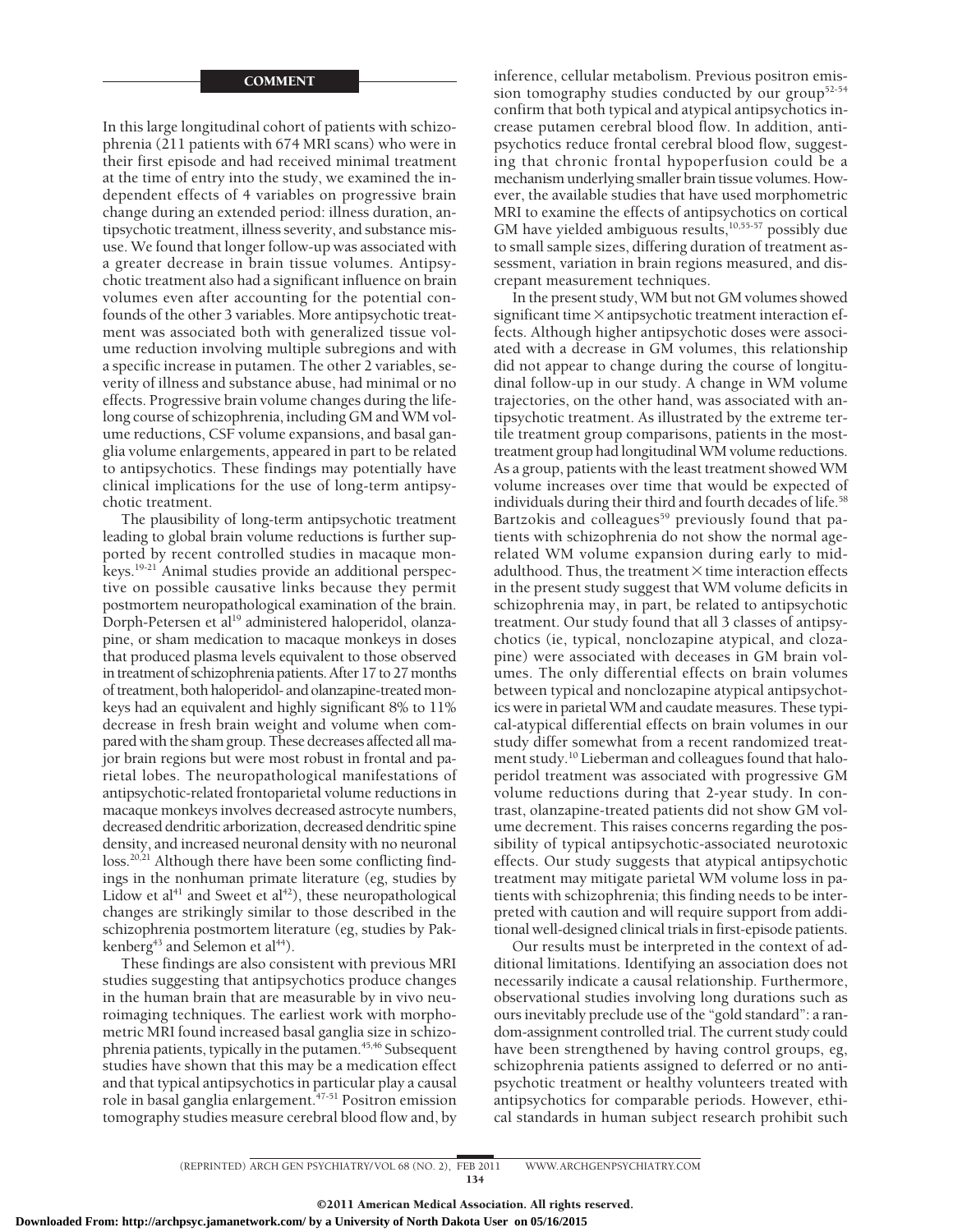#### COMMENT

In this large longitudinal cohort of patients with schizophrenia (211 patients with 674 MRI scans) who were in their first episode and had received minimal treatment at the time of entry into the study, we examined the independent effects of 4 variables on progressive brain change during an extended period: illness duration, antipsychotic treatment, illness severity, and substance misuse. We found that longer follow-up was associated with a greater decrease in brain tissue volumes. Antipsychotic treatment also had a significant influence on brain volumes even after accounting for the potential confounds of the other 3 variables. More antipsychotic treatment was associated both with generalized tissue volume reduction involving multiple subregions and with a specific increase in putamen. The other 2 variables, severity of illness and substance abuse, had minimal or no effects. Progressive brain volume changes during the lifelong course of schizophrenia, including GM and WM volume reductions, CSF volume expansions, and basal ganglia volume enlargements, appeared in part to be related to antipsychotics. These findings may potentially have clinical implications for the use of long-term antipsychotic treatment.

The plausibility of long-term antipsychotic treatment leading to global brain volume reductions is further supported by recent controlled studies in macaque monkeys.19-21 Animal studies provide an additional perspective on possible causative links because they permit postmortem neuropathological examination of the brain. Dorph-Petersen et al<sup>19</sup> administered haloperidol, olanzapine, or sham medication to macaque monkeys in doses that produced plasma levels equivalent to those observed in treatment of schizophrenia patients. After 17 to 27 months of treatment, both haloperidol- and olanzapine-treated monkeys had an equivalent and highly significant 8% to 11% decrease in fresh brain weight and volume when compared with the sham group. These decreases affected all major brain regions but were most robust in frontal and parietal lobes. The neuropathological manifestations of antipsychotic-related frontoparietal volume reductions in macaque monkeys involves decreased astrocyte numbers, decreased dendritic arborization, decreased dendritic spine density, and increased neuronal density with no neuronal loss.<sup>20,21</sup> Although there have been some conflicting findings in the nonhuman primate literature (eg, studies by Lidow et al<sup>41</sup> and Sweet et al<sup>42</sup>), these neuropathological changes are strikingly similar to those described in the schizophrenia postmortem literature (eg, studies by Pakkenberg<sup>43</sup> and Selemon et al<sup>44</sup>).

These findings are also consistent with previous MRI studies suggesting that antipsychotics produce changes in the human brain that are measurable by in vivo neuroimaging techniques. The earliest work with morphometric MRI found increased basal ganglia size in schizophrenia patients, typically in the putamen.<sup>45,46</sup> Subsequent studies have shown that this may be a medication effect and that typical antipsychotics in particular play a causal role in basal ganglia enlargement.<sup>47-51</sup> Positron emission tomography studies measure cerebral blood flow and, by

inference, cellular metabolism. Previous positron emission tomography studies conducted by our group $52-54$ confirm that both typical and atypical antipsychotics increase putamen cerebral blood flow. In addition, antipsychotics reduce frontal cerebral blood flow, suggesting that chronic frontal hypoperfusion could be a mechanism underlying smaller brain tissue volumes. However, the available studies that have used morphometric MRI to examine the effects of antipsychotics on cortical GM have yielded ambiguous results,<sup>10,55-57</sup> possibly due to small sample sizes, differing duration of treatment assessment, variation in brain regions measured, and discrepant measurement techniques.

In the present study, WM but not GM volumes showed significant time $\times$  antipsychotic treatment interaction effects. Although higher antipsychotic doses were associated with a decrease in GM volumes, this relationship did not appear to change during the course of longitudinal follow-up in our study. A change in WM volume trajectories, on the other hand, was associated with antipsychotic treatment. As illustrated by the extreme tertile treatment group comparisons, patients in the mosttreatment group had longitudinal WM volume reductions. As a group, patients with the least treatment showed WM volume increases over time that would be expected of individuals during their third and fourth decades of life.<sup>58</sup> Bartzokis and colleagues<sup>59</sup> previously found that patients with schizophrenia do not show the normal agerelated WM volume expansion during early to midadulthood. Thus, the treatment  $\times$  time interaction effects in the present study suggest that WM volume deficits in schizophrenia may, in part, be related to antipsychotic treatment. Our study found that all 3 classes of antipsychotics (ie, typical, nonclozapine atypical, and clozapine) were associated with deceases in GM brain volumes. The only differential effects on brain volumes between typical and nonclozapine atypical antipsychotics were in parietal WM and caudate measures. These typical-atypical differential effects on brain volumes in our study differ somewhat from a recent randomized treatment study.10 Lieberman and colleagues found that haloperidol treatment was associated with progressive GM volume reductions during that 2-year study. In contrast, olanzapine-treated patients did not show GM volume decrement. This raises concerns regarding the possibility of typical antipsychotic-associated neurotoxic effects. Our study suggests that atypical antipsychotic treatment may mitigate parietal WM volume loss in patients with schizophrenia; this finding needs to be interpreted with caution and will require support from additional well-designed clinical trials in first-episode patients.

Our results must be interpreted in the context of additional limitations. Identifying an association does not necessarily indicate a causal relationship. Furthermore, observational studies involving long durations such as ours inevitably preclude use of the "gold standard": a random-assignment controlled trial. The current study could have been strengthened by having control groups, eg, schizophrenia patients assigned to deferred or no antipsychotic treatment or healthy volunteers treated with antipsychotics for comparable periods. However, ethical standards in human subject research prohibit such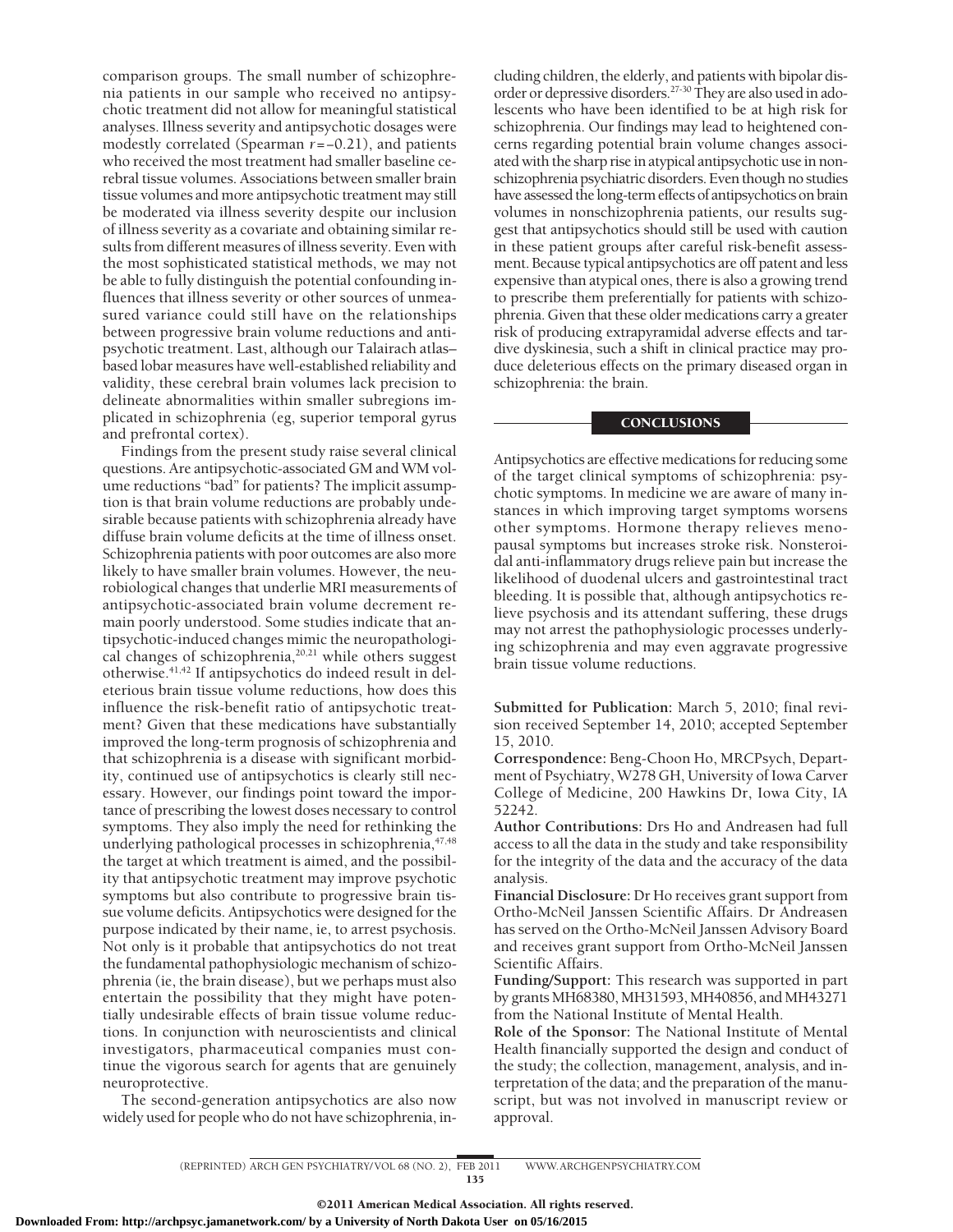comparison groups. The small number of schizophrenia patients in our sample who received no antipsychotic treatment did not allow for meaningful statistical analyses. Illness severity and antipsychotic dosages were modestly correlated (Spearman *r*=−0.21), and patients who received the most treatment had smaller baseline cerebral tissue volumes. Associations between smaller brain tissue volumes and more antipsychotic treatment may still be moderated via illness severity despite our inclusion of illness severity as a covariate and obtaining similar results from different measures of illness severity. Even with the most sophisticated statistical methods, we may not be able to fully distinguish the potential confounding influences that illness severity or other sources of unmeasured variance could still have on the relationships between progressive brain volume reductions and antipsychotic treatment. Last, although our Talairach atlas– based lobar measures have well-established reliability and validity, these cerebral brain volumes lack precision to delineate abnormalities within smaller subregions implicated in schizophrenia (eg, superior temporal gyrus and prefrontal cortex).

Findings from the present study raise several clinical questions. Are antipsychotic-associated GM and WM volume reductions "bad" for patients? The implicit assumption is that brain volume reductions are probably undesirable because patients with schizophrenia already have diffuse brain volume deficits at the time of illness onset. Schizophrenia patients with poor outcomes are also more likely to have smaller brain volumes. However, the neurobiological changes that underlie MRI measurements of antipsychotic-associated brain volume decrement remain poorly understood. Some studies indicate that antipsychotic-induced changes mimic the neuropathological changes of schizophrenia,<sup>20,21</sup> while others suggest otherwise.<sup>41,42</sup> If antipsychotics do indeed result in deleterious brain tissue volume reductions, how does this influence the risk-benefit ratio of antipsychotic treatment? Given that these medications have substantially improved the long-term prognosis of schizophrenia and that schizophrenia is a disease with significant morbidity, continued use of antipsychotics is clearly still necessary. However, our findings point toward the importance of prescribing the lowest doses necessary to control symptoms. They also imply the need for rethinking the underlying pathological processes in schizophrenia, <sup>47,48</sup> the target at which treatment is aimed, and the possibility that antipsychotic treatment may improve psychotic symptoms but also contribute to progressive brain tissue volume deficits. Antipsychotics were designed for the purpose indicated by their name, ie, to arrest psychosis. Not only is it probable that antipsychotics do not treat the fundamental pathophysiologic mechanism of schizophrenia (ie, the brain disease), but we perhaps must also entertain the possibility that they might have potentially undesirable effects of brain tissue volume reductions. In conjunction with neuroscientists and clinical investigators, pharmaceutical companies must continue the vigorous search for agents that are genuinely neuroprotective.

The second-generation antipsychotics are also now widely used for people who do not have schizophrenia, including children, the elderly, and patients with bipolar disorder or depressive disorders.27-30 They are also used in adolescents who have been identified to be at high risk for schizophrenia. Our findings may lead to heightened concerns regarding potential brain volume changes associated with the sharp rise in atypical antipsychotic use in nonschizophrenia psychiatric disorders. Even though no studies have assessed the long-term effects of antipsychotics on brain volumes in nonschizophrenia patients, our results suggest that antipsychotics should still be used with caution in these patient groups after careful risk-benefit assessment. Because typical antipsychotics are off patent and less expensive than atypical ones, there is also a growing trend to prescribe them preferentially for patients with schizophrenia. Given that these older medications carry a greater risk of producing extrapyramidal adverse effects and tardive dyskinesia, such a shift in clinical practice may produce deleterious effects on the primary diseased organ in schizophrenia: the brain.

# **CONCLUSIONS**

Antipsychotics are effective medications for reducing some of the target clinical symptoms of schizophrenia: psychotic symptoms. In medicine we are aware of many instances in which improving target symptoms worsens other symptoms. Hormone therapy relieves menopausal symptoms but increases stroke risk. Nonsteroidal anti-inflammatory drugs relieve pain but increase the likelihood of duodenal ulcers and gastrointestinal tract bleeding. It is possible that, although antipsychotics relieve psychosis and its attendant suffering, these drugs may not arrest the pathophysiologic processes underlying schizophrenia and may even aggravate progressive brain tissue volume reductions.

**Submitted for Publication:** March 5, 2010; final revision received September 14, 2010; accepted September 15, 2010.

**Correspondence:** Beng-Choon Ho, MRCPsych, Department of Psychiatry, W278 GH, University of Iowa Carver College of Medicine, 200 Hawkins Dr, Iowa City, IA 52242.

**Author Contributions:** Drs Ho and Andreasen had full access to all the data in the study and take responsibility for the integrity of the data and the accuracy of the data analysis.

**Financial Disclosure:** Dr Ho receives grant support from Ortho-McNeil Janssen Scientific Affairs. Dr Andreasen has served on the Ortho-McNeil Janssen Advisory Board and receives grant support from Ortho-McNeil Janssen Scientific Affairs.

**Funding/Support:** This research was supported in part by grants MH68380, MH31593, MH40856, and MH43271 from the National Institute of Mental Health.

**Role of the Sponsor:** The National Institute of Mental Health financially supported the design and conduct of the study; the collection, management, analysis, and interpretation of the data; and the preparation of the manuscript, but was not involved in manuscript review or approval.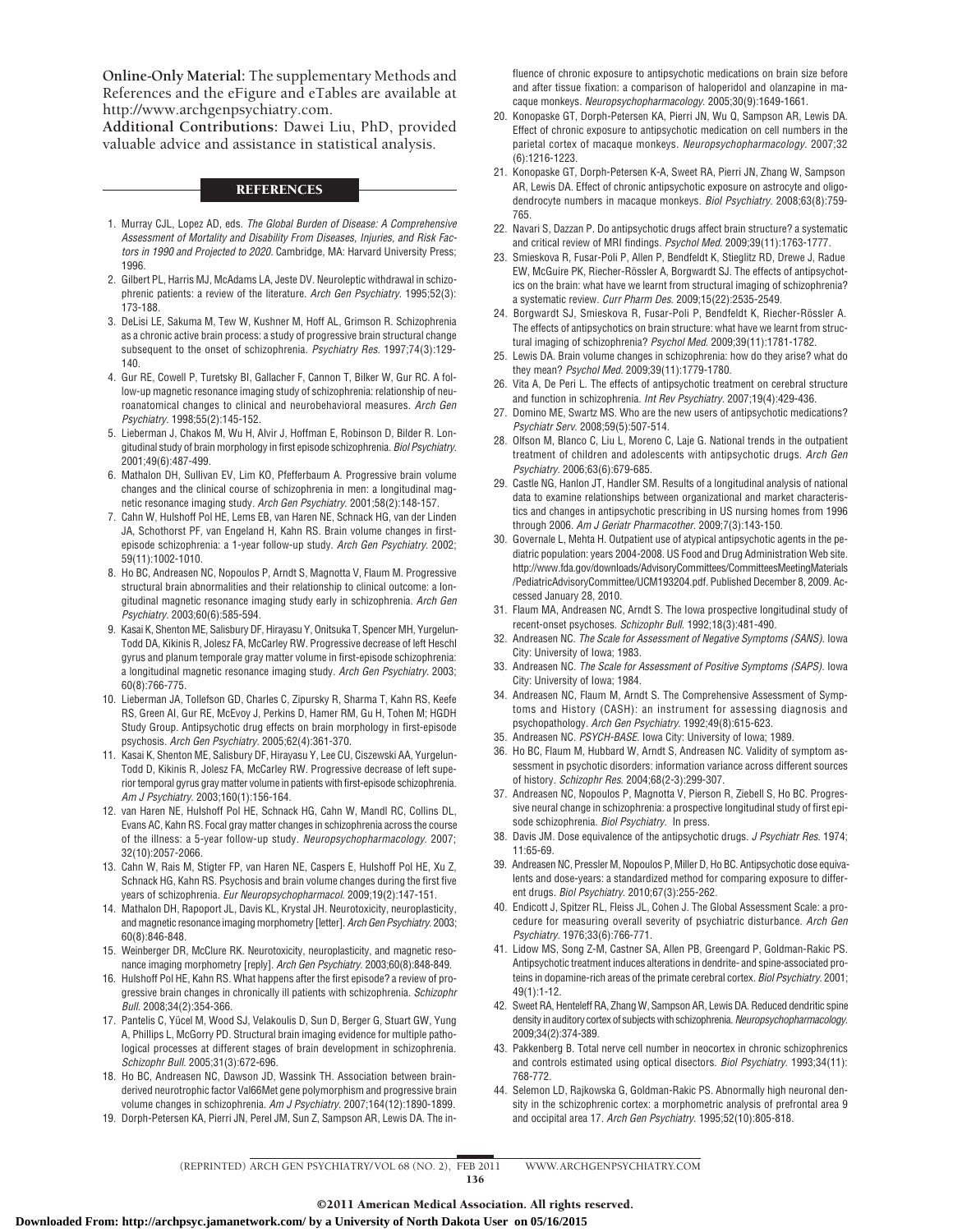**Online-Only Material:** The supplementary Methods and References and the eFigure and eTables are available at http://www.archgenpsychiatry.com.

**Additional Contributions:** Dawei Liu, PhD, provided valuable advice and assistance in statistical analysis.

#### **REFERENCES**

- 1. Murray CJL, Lopez AD, eds. *The Global Burden of Disease: A Comprehensive Assessment of Mortality and Disability From Diseases, Injuries, and Risk Factors in 1990 and Projected to 2020.* Cambridge, MA: Harvard University Press; 1996.
- 2. Gilbert PL, Harris MJ, McAdams LA, Jeste DV. Neuroleptic withdrawal in schizophrenic patients: a review of the literature. *Arch Gen Psychiatry*. 1995;52(3): 173-188.
- 3. DeLisi LE, Sakuma M, Tew W, Kushner M, Hoff AL, Grimson R. Schizophrenia as a chronic active brain process: a study of progressive brain structural change subsequent to the onset of schizophrenia. *Psychiatry Res*. 1997;74(3):129- 140.
- 4. Gur RE, Cowell P, Turetsky BI, Gallacher F, Cannon T, Bilker W, Gur RC. A follow-up magnetic resonance imaging study of schizophrenia: relationship of neuroanatomical changes to clinical and neurobehavioral measures. *Arch Gen Psychiatry*. 1998;55(2):145-152.
- 5. Lieberman J, Chakos M, Wu H, Alvir J, Hoffman E, Robinson D, Bilder R. Longitudinal study of brain morphology in first episode schizophrenia. *Biol Psychiatry*. 2001;49(6):487-499.
- 6. Mathalon DH, Sullivan EV, Lim KO, Pfefferbaum A. Progressive brain volume changes and the clinical course of schizophrenia in men: a longitudinal magnetic resonance imaging study. *Arch Gen Psychiatry*. 2001;58(2):148-157.
- 7. Cahn W, Hulshoff Pol HE, Lems EB, van Haren NE, Schnack HG, van der Linden JA, Schothorst PF, van Engeland H, Kahn RS. Brain volume changes in firstepisode schizophrenia: a 1-year follow-up study. *Arch Gen Psychiatry*. 2002; 59(11):1002-1010.
- 8. Ho BC, Andreasen NC, Nopoulos P, Arndt S, Magnotta V, Flaum M. Progressive structural brain abnormalities and their relationship to clinical outcome: a longitudinal magnetic resonance imaging study early in schizophrenia. *Arch Gen Psychiatry*. 2003;60(6):585-594.
- 9. Kasai K, Shenton ME, Salisbury DF, Hirayasu Y, Onitsuka T, Spencer MH, Yurgelun-Todd DA, Kikinis R, Jolesz FA, McCarley RW. Progressive decrease of left Heschl gyrus and planum temporale gray matter volume in first-episode schizophrenia: a longitudinal magnetic resonance imaging study. *Arch Gen Psychiatry*. 2003; 60(8):766-775.
- 10. Lieberman JA, Tollefson GD, Charles C, Zipursky R, Sharma T, Kahn RS, Keefe RS, Green AI, Gur RE, McEvoy J, Perkins D, Hamer RM, Gu H, Tohen M; HGDH Study Group. Antipsychotic drug effects on brain morphology in first-episode psychosis. *Arch Gen Psychiatry*. 2005;62(4):361-370.
- 11. Kasai K, Shenton ME, Salisbury DF, Hirayasu Y, Lee CU, Ciszewski AA, Yurgelun-Todd D, Kikinis R, Jolesz FA, McCarley RW. Progressive decrease of left superior temporal gyrus gray matter volume in patients with first-episode schizophrenia. *Am J Psychiatry*. 2003;160(1):156-164.
- 12. van Haren NE, Hulshoff Pol HE, Schnack HG, Cahn W, Mandl RC, Collins DL, Evans AC, Kahn RS. Focal gray matter changes in schizophrenia across the course of the illness: a 5-year follow-up study. *Neuropsychopharmacology*. 2007; 32(10):2057-2066.
- 13. Cahn W, Rais M, Stigter FP, van Haren NE, Caspers E, Hulshoff Pol HE, Xu Z, Schnack HG, Kahn RS. Psychosis and brain volume changes during the first five years of schizophrenia. *Eur Neuropsychopharmacol*. 2009;19(2):147-151.
- 14. Mathalon DH, Rapoport JL, Davis KL, Krystal JH. Neurotoxicity, neuroplasticity, and magnetic resonance imaging morphometry [letter]. *Arch Gen Psychiatry*. 2003; 60(8):846-848.
- 15. Weinberger DR, McClure RK. Neurotoxicity, neuroplasticity, and magnetic resonance imaging morphometry [reply]. *Arch Gen Psychiatry*. 2003;60(8):848-849.
- 16. Hulshoff Pol HE, Kahn RS. What happens after the first episode? a review of progressive brain changes in chronically ill patients with schizophrenia. *Schizophr Bull*. 2008;34(2):354-366.
- 17. Pantelis C, Yücel M, Wood SJ, Velakoulis D, Sun D, Berger G, Stuart GW, Yung A, Phillips L, McGorry PD. Structural brain imaging evidence for multiple pathological processes at different stages of brain development in schizophrenia. *Schizophr Bull*. 2005;31(3):672-696.
- 18. Ho BC, Andreasen NC, Dawson JD, Wassink TH. Association between brainderived neurotrophic factor Val66Met gene polymorphism and progressive brain volume changes in schizophrenia. *Am J Psychiatry*. 2007;164(12):1890-1899.
- 19. Dorph-Petersen KA, Pierri JN, Perel JM, Sun Z, Sampson AR, Lewis DA. The in-

fluence of chronic exposure to antipsychotic medications on brain size before and after tissue fixation: a comparison of haloperidol and olanzapine in macaque monkeys. *Neuropsychopharmacology*. 2005;30(9):1649-1661.

- 20. Konopaske GT, Dorph-Petersen KA, Pierri JN, Wu Q, Sampson AR, Lewis DA. Effect of chronic exposure to antipsychotic medication on cell numbers in the parietal cortex of macaque monkeys. *Neuropsychopharmacology*. 2007;32 (6):1216-1223.
- 21. Konopaske GT, Dorph-Petersen K-A, Sweet RA, Pierri JN, Zhang W, Sampson AR, Lewis DA. Effect of chronic antipsychotic exposure on astrocyte and oligodendrocyte numbers in macaque monkeys. *Biol Psychiatry*. 2008;63(8):759- 765.
- 22. Navari S, Dazzan P. Do antipsychotic drugs affect brain structure? a systematic and critical review of MRI findings. *Psychol Med*. 2009;39(11):1763-1777.
- 23. Smieskova R, Fusar-Poli P, Allen P, Bendfeldt K, Stieglitz RD, Drewe J, Radue EW, McGuire PK, Riecher-Rössler A, Borgwardt SJ. The effects of antipsychotics on the brain: what have we learnt from structural imaging of schizophrenia? a systematic review. *Curr Pharm Des*. 2009;15(22):2535-2549.
- 24. Borgwardt SJ, Smieskova R, Fusar-Poli P, Bendfeldt K, Riecher-Rössler A. The effects of antipsychotics on brain structure: what have we learnt from structural imaging of schizophrenia? *Psychol Med*. 2009;39(11):1781-1782.
- 25. Lewis DA. Brain volume changes in schizophrenia: how do they arise? what do they mean? *Psychol Med*. 2009;39(11):1779-1780.
- 26. Vita A, De Peri L. The effects of antipsychotic treatment on cerebral structure and function in schizophrenia. *Int Rev Psychiatry*. 2007;19(4):429-436.
- 27. Domino ME, Swartz MS. Who are the new users of antipsychotic medications? *Psychiatr Serv*. 2008;59(5):507-514.
- 28. Olfson M, Blanco C, Liu L, Moreno C, Laje G. National trends in the outpatient treatment of children and adolescents with antipsychotic drugs. *Arch Gen Psychiatry*. 2006;63(6):679-685.
- 29. Castle NG, Hanlon JT, Handler SM. Results of a longitudinal analysis of national data to examine relationships between organizational and market characteristics and changes in antipsychotic prescribing in US nursing homes from 1996 through 2006. *Am J Geriatr Pharmacother*. 2009;7(3):143-150.
- 30. Governale L, Mehta H. Outpatient use of atypical antipsychotic agents in the pediatric population: years 2004-2008. US Food and Drug Administration Web site. http://www.fda.gov/downloads/AdvisoryCommittees/CommitteesMeetingMaterials /PediatricAdvisoryCommittee/UCM193204.pdf. Published December 8, 2009. Accessed January 28, 2010.
- 31. Flaum MA, Andreasen NC, Arndt S. The Iowa prospective longitudinal study of recent-onset psychoses. *Schizophr Bull*. 1992;18(3):481-490.
- 32. Andreasen NC. *The Scale for Assessment of Negative Symptoms (SANS).* Iowa City: University of Iowa; 1983.
- 33. Andreasen NC. *The Scale for Assessment of Positive Symptoms (SAPS).* Iowa City: University of Iowa; 1984.
- 34. Andreasen NC, Flaum M, Arndt S. The Comprehensive Assessment of Symptoms and History (CASH): an instrument for assessing diagnosis and psychopathology. *Arch Gen Psychiatry*. 1992;49(8):615-623.
- 35. Andreasen NC. *PSYCH-BASE.* Iowa City: University of Iowa; 1989.
- 36. Ho BC, Flaum M, Hubbard W, Arndt S, Andreasen NC. Validity of symptom assessment in psychotic disorders: information variance across different sources of history. *Schizophr Res*. 2004;68(2-3):299-307.
- 37. Andreasen NC, Nopoulos P, Magnotta V, Pierson R, Ziebell S, Ho BC. Progressive neural change in schizophrenia: a prospective longitudinal study of first episode schizophrenia. *Biol Psychiatry*. In press.
- 38. Davis JM. Dose equivalence of the antipsychotic drugs. *J Psychiatr Res*. 1974; 11:65-69.
- 39. Andreasen NC, Pressler M, Nopoulos P, Miller D, Ho BC. Antipsychotic dose equivalents and dose-years: a standardized method for comparing exposure to different drugs. *Biol Psychiatry*. 2010;67(3):255-262.
- 40. Endicott J, Spitzer RL, Fleiss JL, Cohen J. The Global Assessment Scale: a procedure for measuring overall severity of psychiatric disturbance. *Arch Gen Psychiatry*. 1976;33(6):766-771.
- 41. Lidow MS, Song Z-M, Castner SA, Allen PB, Greengard P, Goldman-Rakic PS. Antipsychotic treatment induces alterations in dendrite- and spine-associated proteins in dopamine-rich areas of the primate cerebral cortex. *Biol Psychiatry*. 2001; 49(1):1-12.
- 42. Sweet RA, Henteleff RA, Zhang W, Sampson AR, Lewis DA. Reduced dendritic spine density in auditory cortex of subjects with schizophrenia.*Neuropsychopharmacology*. 2009;34(2):374-389.
- 43. Pakkenberg B. Total nerve cell number in neocortex in chronic schizophrenics and controls estimated using optical disectors. *Biol Psychiatry*. 1993;34(11): 768-772.
- 44. Selemon LD, Rajkowska G, Goldman-Rakic PS. Abnormally high neuronal density in the schizophrenic cortex: a morphometric analysis of prefrontal area 9 and occipital area 17. *Arch Gen Psychiatry*. 1995;52(10):805-818.

(REPRINTED) ARCH GEN PSYCHIATRY/ VOL 68 (NO. 2), FEB 2011 WWW.ARCHGENPSYCHIATRY.COM 136

©2011 American Medical Association. All rights reserved.